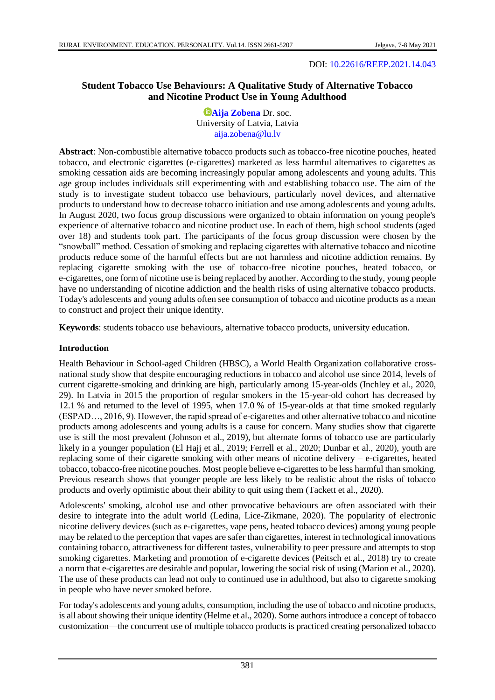## DOI: [10.22616/REEP.2021.14.043](https://doi.org/10.22616/REEP.2021.14.043)

# **Student Tobacco Use Behaviours: A Qualitative Study of Alternative Tobacco and Nicotine Product Use in Young Adulthood**

*<b>D[Aija Zobena](https://orcid.org/0000-0003-4660-2886)* Dr. soc. University of Latvia, Latvia [aija.zobena@lu.lv](mailto:aija.zobena@lu.lv)

**Abstract**: Non-combustible alternative tobacco products such as tobacco-free nicotine pouches, heated tobacco, and electronic cigarettes (e-cigarettes) marketed as less harmful alternatives to cigarettes as smoking cessation aids are becoming increasingly popular among adolescents and young adults. This age group includes individuals still experimenting with and establishing tobacco use. The aim of the study is to investigate student tobacco use behaviours, particularly novel devices, and alternative products to understand how to decrease tobacco initiation and use among adolescents and young adults. In August 2020, two focus group discussions were organized to obtain information on young people's experience of alternative tobacco and nicotine product use. In each of them, high school students (aged over 18) and students took part. The participants of the focus group discussion were chosen by the "snowball" method. Cessation of smoking and replacing cigarettes with alternative tobacco and nicotine products reduce some of the harmful effects but are not harmless and nicotine addiction remains. By replacing cigarette smoking with the use of tobacco-free nicotine pouches, heated tobacco, or e-cigarettes, one form of nicotine use is being replaced by another. According to the study, young people have no understanding of nicotine addiction and the health risks of using alternative tobacco products. Today's adolescents and young adults often see consumption of tobacco and nicotine products as a mean to construct and project their unique identity.

**Keywords**: students tobacco use behaviours, alternative tobacco products, university education.

### **Introduction**

Health Behaviour in School-aged Children (HBSC), a World Health Organization collaborative crossnational study show that despite encouraging reductions in tobacco and alcohol use since 2014, levels of current cigarette-smoking and drinking are high, particularly among 15-year-olds (Inchley et al., 2020, 29). In Latvia in 2015 the proportion of regular smokers in the 15-year-old cohort has decreased by 12.1 % and returned to the level of 1995, when 17.0 % of 15-year-olds at that time smoked regularly (ESPAD…, 2016, 9). However, the rapid spread of e-cigarettes and other alternative tobacco and nicotine products among adolescents and young adults is a cause for concern. Many studies show that cigarette use is still the most prevalent (Johnson et al., 2019), but alternate forms of tobacco use are particularly likely in a younger population (El Hajj et al., 2019; Ferrell et al., 2020; Dunbar et al., 2020), youth are replacing some of their cigarette smoking with other means of nicotine delivery – e-cigarettes, heated tobacco, tobacco-free nicotine pouches. Most people believe e-cigarettes to be less harmful than smoking. Previous research shows that younger people are less likely to be realistic about the risks of tobacco products and overly optimistic about their ability to quit using them (Tackett et al., 2020).

Adolescents' smoking, alcohol use and other provocative behaviours are often associated with their desire to integrate into the adult world (Ledina, Lice-Zikmane, 2020). The popularity of electronic nicotine delivery devices (such as e-cigarettes, vape pens, heated tobacco devices) among young people may be related to the perception that vapes are safer than cigarettes, interest in technological innovations containing tobacco, attractiveness for different tastes, vulnerability to peer pressure and attempts to stop smoking cigarettes. Marketing and promotion of e-cigarette devices (Peitsch et al., 2018) try to create a norm that e-cigarettes are desirable and popular, lowering the social risk of using (Marion et al., 2020). The use of these products can lead not only to continued use in adulthood, but also to cigarette smoking in people who have never smoked before.

For today's adolescents and young adults, consumption, including the use of tobacco and nicotine products, is all about showing their unique identity (Helme et al., 2020). Some authors introduce a concept of tobacco customization—the concurrent use of multiple tobacco products is practiced creating personalized tobacco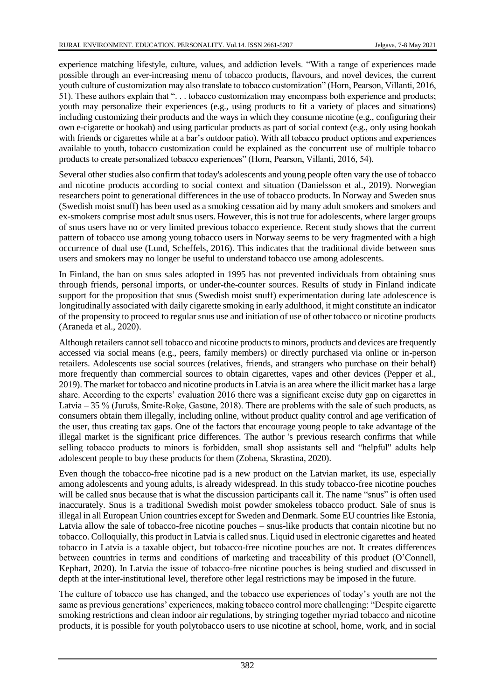experience matching lifestyle, culture, values, and addiction levels. "With a range of experiences made possible through an ever-increasing menu of tobacco products, flavours, and novel devices, the current youth culture of customization may also translate to tobacco customization" (Horn, Pearson, Villanti, 2016, 51). These authors explain that ". . . tobacco customization may encompass both experience and products; youth may personalize their experiences (e.g., using products to fit a variety of places and situations) including customizing their products and the ways in which they consume nicotine (e.g., configuring their own e-cigarette or hookah) and using particular products as part of social context (e.g., only using hookah with friends or cigarettes while at a bar's outdoor patio). With all tobacco product options and experiences available to youth, tobacco customization could be explained as the concurrent use of multiple tobacco products to create personalized tobacco experiences" (Horn, Pearson, Villanti, 2016, 54).

Several other studies also confirm that today's adolescents and young people often vary the use of tobacco and nicotine products according to social context and situation (Danielsson et al., 2019). Norwegian researchers point to generational differences in the use of tobacco products. In Norway and Sweden snus (Swedish moist snuff) has been used as a smoking cessation aid by many adult smokers and smokers and ex-smokers comprise most adult snus users. However, this is not true for adolescents, where larger groups of snus users have no or very limited previous tobacco experience. Recent study shows that the current pattern of tobacco use among young tobacco users in Norway seems to be very fragmented with a high occurrence of dual use (Lund, Scheffels, 2016). This indicates that the traditional divide between snus users and smokers may no longer be useful to understand tobacco use among adolescents.

In Finland, the ban on snus sales adopted in 1995 has not prevented individuals from obtaining snus through friends, personal imports, or under-the-counter sources. Results of study in Finland indicate support for the proposition that snus (Swedish moist snuff) experimentation during late adolescence is longitudinally associated with daily cigarette smoking in early adulthood, it might constitute an indicator of the propensity to proceed to regular snus use and initiation of use of other tobacco or nicotine products (Araneda et al., 2020).

Although retailers cannot sell tobacco and nicotine products to minors, products and devices are frequently accessed via social means (e.g., peers, family members) or directly purchased via online or in-person retailers. Adolescents use social sources (relatives, friends, and strangers who purchase on their behalf) more frequently than commercial sources to obtain cigarettes, vapes and other devices (Pepper et al., 2019). The market for tobacco and nicotine products in Latvia is an area where the illicit market has a large share. According to the experts' evaluation 2016 there was a significant excise duty gap on cigarettes in Latvia – 35 % (Jurušs, Šmite-Roķe, Gasūne, 2018). There are problems with the sale of such products, as consumers obtain them illegally, including online, without product quality control and age verification of the user, thus creating tax gaps. One of the factors that encourage young people to take advantage of the illegal market is the significant price differences. The author 's previous research confirms that while selling tobacco products to minors is forbidden, small shop assistants sell and "helpful" adults help adolescent people to buy these products for them (Zobena, Skrastina, 2020).

Even though the tobacco-free nicotine pad is a new product on the Latvian market, its use, especially among adolescents and young adults, is already widespread. In this study tobacco-free nicotine pouches will be called snus because that is what the discussion participants call it. The name "snus" is often used inaccurately. Snus is a traditional Swedish moist powder smokeless tobacco product. Sale of snus is illegal in all European Union countries except for Sweden and Denmark. Some EU countries like Estonia, Latvia allow the sale of tobacco-free nicotine pouches – snus-like products that contain nicotine but no tobacco. Colloquially, this product in Latvia is called snus. Liquid used in electronic cigarettes and heated tobacco in Latvia is a taxable object, but tobacco-free nicotine pouches are not. It creates differences between countries in terms and conditions of marketing and traceability of this product (O'Connell, Kephart, 2020). In Latvia the issue of tobacco-free nicotine pouches is being studied and discussed in depth at the inter-institutional level, therefore other legal restrictions may be imposed in the future.

The culture of tobacco use has changed, and the tobacco use experiences of today's youth are not the same as previous generations' experiences, making tobacco control more challenging: "Despite cigarette smoking restrictions and clean indoor air regulations, by stringing together myriad tobacco and nicotine products, it is possible for youth polytobacco users to use nicotine at school, home, work, and in social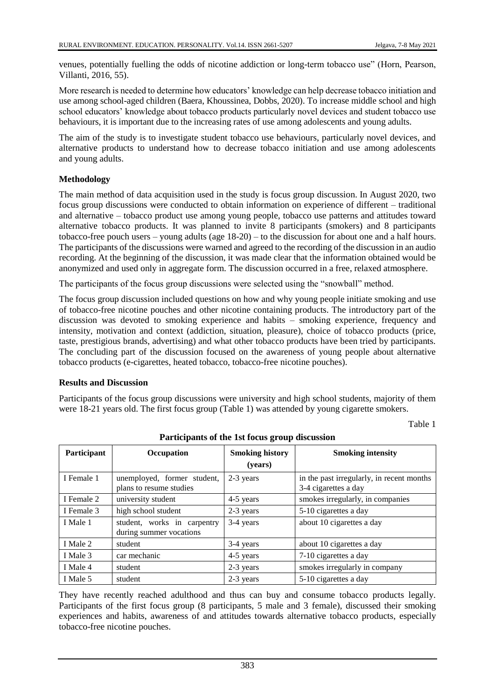venues, potentially fuelling the odds of nicotine addiction or long-term tobacco use" (Horn, Pearson, Villanti, 2016, 55).

More research is needed to determine how educators' knowledge can help decrease tobacco initiation and use among school-aged children (Baera, Khoussinea, Dobbs, 2020). To increase middle school and high school educators' knowledge about tobacco products particularly novel devices and student tobacco use behaviours, it is important due to the increasing rates of use among adolescents and young adults.

The aim of the study is to investigate student tobacco use behaviours, particularly novel devices, and alternative products to understand how to decrease tobacco initiation and use among adolescents and young adults.

### **Methodology**

The main method of data acquisition used in the study is focus group discussion. In August 2020, two focus group discussions were conducted to obtain information on experience of different – traditional and alternative – tobacco product use among young people, tobacco use patterns and attitudes toward alternative tobacco products. It was planned to invite 8 participants (smokers) and 8 participants tobacco-free pouch users – young adults (age 18-20) – to the discussion for about one and a half hours. The participants of the discussions were warned and agreed to the recording of the discussion in an audio recording. At the beginning of the discussion, it was made clear that the information obtained would be anonymized and used only in aggregate form. The discussion occurred in a free, relaxed atmosphere.

The participants of the focus group discussions were selected using the "snowball" method.

The focus group discussion included questions on how and why young people initiate smoking and use of tobacco-free nicotine pouches and other nicotine containing products. The introductory part of the discussion was devoted to smoking experience and habits – smoking experience, frequency and intensity, motivation and context (addiction, situation, pleasure), choice of tobacco products (price, taste, prestigious brands, advertising) and what other tobacco products have been tried by participants. The concluding part of the discussion focused on the awareness of young people about alternative tobacco products (e-cigarettes, heated tobacco, tobacco-free nicotine pouches).

#### **Results and Discussion**

Participants of the focus group discussions were university and high school students, majority of them were 18-21 years old. The first focus group (Table 1) was attended by young cigarette smokers.

Table 1

| Participant | Occupation                                             | <b>Smoking history</b><br>(years) | <b>Smoking intensity</b>                                          |
|-------------|--------------------------------------------------------|-----------------------------------|-------------------------------------------------------------------|
| I Female 1  | unemployed, former student,<br>plans to resume studies | 2-3 years                         | in the past irregularly, in recent months<br>3-4 cigarettes a day |
| I Female 2  | university student                                     | 4-5 years                         | smokes irregularly, in companies                                  |
| I Female 3  | high school student                                    | 2-3 years                         | 5-10 cigarettes a day                                             |
| I Male 1    | student, works in carpentry<br>during summer vocations | 3-4 years                         | about 10 cigarettes a day                                         |
| I Male 2    | student                                                | 3-4 years                         | about 10 cigarettes a day                                         |
| I Male 3    | car mechanic                                           | 4-5 years                         | 7-10 cigarettes a day                                             |
| I Male 4    | student                                                | 2-3 years                         | smokes irregularly in company                                     |
| I Male 5    | student                                                | 2-3 years                         | 5-10 cigarettes a day                                             |

**Participants of the 1st focus group discussion**

They have recently reached adulthood and thus can buy and consume tobacco products legally. Participants of the first focus group (8 participants, 5 male and 3 female), discussed their smoking experiences and habits, awareness of and attitudes towards alternative tobacco products, especially tobacco-free nicotine pouches.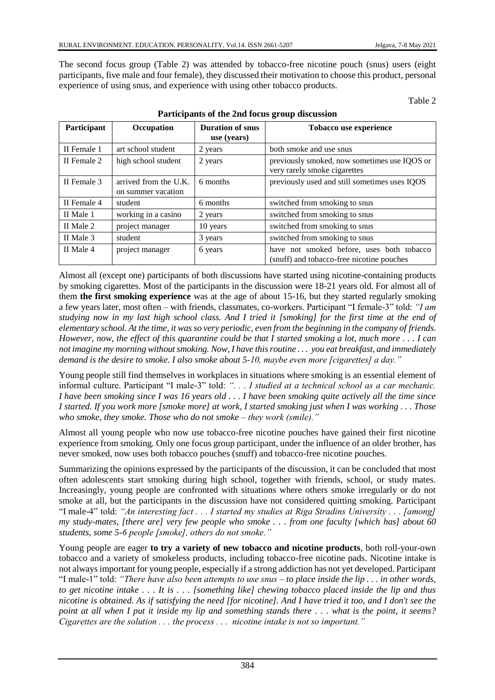The second focus group (Table 2) was attended by tobacco-free nicotine pouch (snus) users (eight participants, five male and four female), they discussed their motivation to choose this product, personal experience of using snus, and experience with using other tobacco products.

Table 2

| Participant | Occupation                                  | <b>Duration of snus</b> | Tobacco use experience                                                                 |
|-------------|---------------------------------------------|-------------------------|----------------------------------------------------------------------------------------|
|             |                                             | use (years)             |                                                                                        |
| II Female 1 | art school student                          | 2 years                 | both smoke and use snus                                                                |
| II Female 2 | high school student                         | 2 years                 | previously smoked, now sometimes use IQOS or<br>very rarely smoke cigarettes           |
| II Female 3 | arrived from the U.K.<br>on summer vacation | 6 months                | previously used and still sometimes uses IQOS                                          |
| II Female 4 | student                                     | 6 months                | switched from smoking to snus                                                          |
| II Male 1   | working in a casino                         | 2 years                 | switched from smoking to snus                                                          |
| II Male 2   | project manager                             | 10 years                | switched from smoking to snus                                                          |
| II Male 3   | student                                     | 3 years                 | switched from smoking to snus                                                          |
| II Male 4   | project manager                             | 6 years                 | have not smoked before, uses both tobacco<br>(snuff) and tobacco-free nicotine pouches |

#### **Participants of the 2nd focus group discussion**

Almost all (except one) participants of both discussions have started using nicotine-containing products by smoking cigarettes. Most of the participants in the discussion were 18-21 years old. For almost all of them **the first smoking experience** was at the age of about 15-16, but they started regularly smoking a few years later, most often – with friends, classmates, co-workers. Participant "I female-3" told: *"I am studying now in my last high school class. And I tried it [smoking] for the first time at the end of elementary school. At the time, it was so very periodic, even from the beginning in the company of friends. However, now, the effect of this quarantine could be that I started smoking a lot, much more . . . I can not imagine my morning without smoking. Now, I have this routine . . . you eat breakfast, and immediately demand is the desire to smoke. I also smoke about 5-10, maybe even more [cigarettes] a day."*

Young people still find themselves in workplaces in situations where smoking is an essential element of informal culture. Participant "I male-3" told: *". . . I studied at a technical school as a car mechanic. I have been smoking since I was 16 years old . . . I have been smoking quite actively all the time since I started. If you work more [smoke more] at work, I started smoking just when I was working . . . Those who smoke, they smoke. Those who do not smoke – they work (smile)."*

Almost all young people who now use tobacco-free nicotine pouches have gained their first nicotine experience from smoking. Only one focus group participant, under the influence of an older brother, has never smoked, now uses both tobacco pouches (snuff) and tobacco-free nicotine pouches.

Summarizing the opinions expressed by the participants of the discussion, it can be concluded that most often adolescents start smoking during high school, together with friends, school, or study mates. Increasingly, young people are confronted with situations where others smoke irregularly or do not smoke at all, but the participants in the discussion have not considered quitting smoking. Participant "I male-4" told: *"An interesting fact . . . I started my studies at Riga Stradins University . . . [among] my study-mates, [there are] very few people who smoke . . . from one faculty [which has] about 60 students, some 5-6 people [smoke], others do not smoke."*

Young people are eager **to try a variety of new tobacco and nicotine products**, both roll-your-own tobacco and a variety of smokeless products, including tobacco-free nicotine pads. Nicotine intake is not always important for young people, especially if a strong addiction has not yet developed. Participant "I male-1" told: *"There have also been attempts to use snus – to place inside the lip . . . in other words, to get nicotine intake . . . It is . . . [something like] chewing tobacco placed inside the lip and thus nicotine is obtained. As if satisfying the need [for nicotine]. And I have tried it too, and I don't see the point at all when I put it inside my lip and something stands there . . . what is the point, it seems? Cigarettes are the solution . . . the process . . . nicotine intake is not so important."*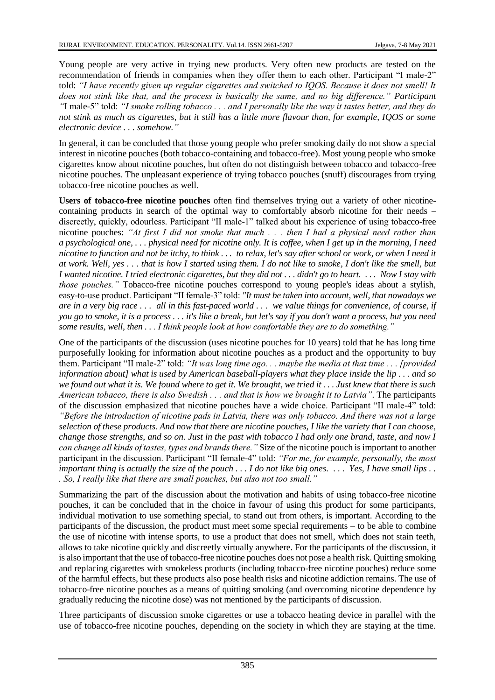Young people are very active in trying new products. Very often new products are tested on the recommendation of friends in companies when they offer them to each other. Participant "I male-2" told: *"I have recently given up regular cigarettes and switched to IQOS. Because it does not smell! It does not stink like that, and the process is basically the same, and no big difference." Participant "*I male-5" told: *"I smoke rolling tobacco . . . and I personally like the way it tastes better, and they do not stink as much as cigarettes, but it still has a little more flavour than, for example, IQOS or some electronic device . . . somehow."*

In general, it can be concluded that those young people who prefer smoking daily do not show a special interest in nicotine pouches (both tobacco-containing and tobacco-free). Most young people who smoke cigarettes know about nicotine pouches, but often do not distinguish between tobacco and tobacco-free nicotine pouches. The unpleasant experience of trying tobacco pouches (snuff) discourages from trying tobacco-free nicotine pouches as well.

**Users of tobacco-free nicotine pouches** often find themselves trying out a variety of other nicotinecontaining products in search of the optimal way to comfortably absorb nicotine for their needs – discreetly, quickly, odourless. Participant "II male-1" talked about his experience of using tobacco-free nicotine pouches: *"At first I did not smoke that much . . . then I had a physical need rather than a psychological one, . . . physical need for nicotine only. It is coffee, when I get up in the morning, I need nicotine to function and not be itchy, to think . . . to relax, let's say after school or work, or when I need it at work. Well, yes . . . that is how I started using them. I do not like to smoke, I don't like the smell, but I wanted nicotine. I tried electronic cigarettes, but they did not . . . didn't go to heart. . . . Now I stay with those pouches."* Tobacco-free nicotine pouches correspond to young people's ideas about a stylish, easy-to-use product. Participant "II female-3" told: *"It must be taken into account, well, that nowadays we are in a very big race . . . all in this fast-paced world . . . we value things for convenience, of course, if you go to smoke, it is a process . . . it's like a break, but let's say if you don't want a process, but you need some results, well, then . . . I think people look at how comfortable they are to do something."* 

One of the participants of the discussion (uses nicotine pouches for 10 years) told that he has long time purposefully looking for information about nicotine pouches as a product and the opportunity to buy them. Participant "II male-2" told: *"It was long time ago. . . maybe the media at that time . . . [provided information about] what is used by American baseball-players what they place inside the lip . . . and so we found out what it is. We found where to get it. We brought, we tried it . . . Just knew that there is such American tobacco, there is also Swedish . . . and that is how we brought it to Latvia"*. The participants of the discussion emphasized that nicotine pouches have a wide choice. Participant "II male-4" told: *"Before the introduction of nicotine pads in Latvia, there was only tobacco. And there was not a large selection of these products. And now that there are nicotine pouches, I like the variety that I can choose, change those strengths, and so on. Just in the past with tobacco I had only one brand, taste, and now I can change all kinds of tastes, types and brands there."* Size of the nicotine pouch is important to another participant in the discussion. Participant "II female-4" told: *"For me, for example, personally, the most important thing is actually the size of the pouch . . . I do not like big ones. . . . Yes, I have small lips . . . So, I really like that there are small pouches, but also not too small."*

Summarizing the part of the discussion about the motivation and habits of using tobacco-free nicotine pouches, it can be concluded that in the choice in favour of using this product for some participants, individual motivation to use something special, to stand out from others, is important. According to the participants of the discussion, the product must meet some special requirements – to be able to combine the use of nicotine with intense sports, to use a product that does not smell, which does not stain teeth, allows to take nicotine quickly and discreetly virtually anywhere. For the participants of the discussion, it is also important that the use of tobacco-free nicotine pouches does not pose a health risk. Quitting smoking and replacing cigarettes with smokeless products (including tobacco-free nicotine pouches) reduce some of the harmful effects, but these products also pose health risks and nicotine addiction remains. The use of tobacco-free nicotine pouches as a means of quitting smoking (and overcoming nicotine dependence by gradually reducing the nicotine dose) was not mentioned by the participants of discussion.

Three participants of discussion smoke cigarettes or use a tobacco heating device in parallel with the use of tobacco-free nicotine pouches, depending on the society in which they are staying at the time.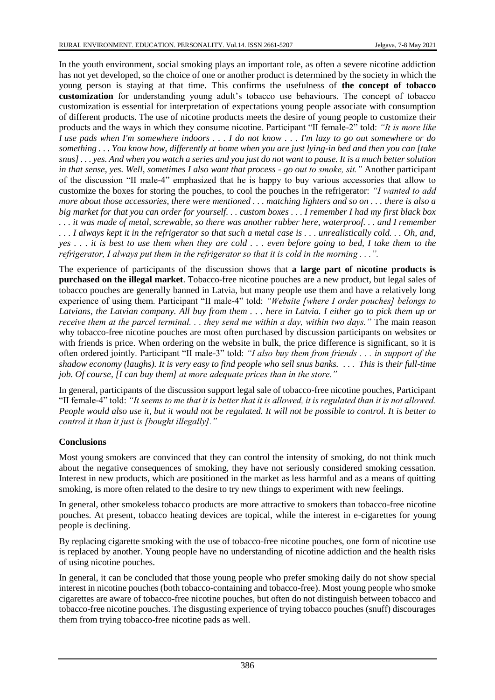In the youth environment, social smoking plays an important role, as often a severe nicotine addiction has not yet developed, so the choice of one or another product is determined by the society in which the young person is staying at that time. This confirms the usefulness of **the concept of tobacco customization** for understanding young adult's tobacco use behaviours. The concept of tobacco customization is essential for interpretation of expectations young people associate with consumption of different products. The use of nicotine products meets the desire of young people to customize their products and the ways in which they consume nicotine. Participant "II female-2" told: *"It is more like I use pads when I'm somewhere indoors . . . I do not know . . . I'm lazy to go out somewhere or do something . . . You know how, differently at home when you are just lying-in bed and then you can [take snus] . . . yes. And when you watch a series and you just do not want to pause. It is a much better solution in that sense, yes. Well, sometimes I also want that process - go out to smoke, sit."* Another participant of the discussion "II male-4" emphasized that he is happy to buy various accessories that allow to customize the boxes for storing the pouches, to cool the pouches in the refrigerator: *"I wanted to add more about those accessories, there were mentioned . . . matching lighters and so on . . . there is also a big market for that you can order for yourself. . . custom boxes . . . I remember I had my first black box . . . it was made of metal, screwable, so there was another rubber here, waterproof. . . and I remember . . . I always kept it in the refrigerator so that such a metal case is . . . unrealistically cold. . . Oh, and, yes . . . it is best to use them when they are cold . . . even before going to bed, I take them to the refrigerator, I always put them in the refrigerator so that it is cold in the morning . . .".*

The experience of participants of the discussion shows that **a large part of nicotine products is purchased on the illegal market**. Tobacco-free nicotine pouches are a new product, but legal sales of tobacco pouches are generally banned in Latvia, but many people use them and have a relatively long experience of using them. Participant "II male-4" told: *"Website [where I order pouches] belongs to Latvians, the Latvian company. All buy from them . . . here in Latvia. I either go to pick them up or receive them at the parcel terminal. . . they send me within a day, within two days."* The main reason why tobacco-free nicotine pouches are most often purchased by discussion participants on websites or with friends is price. When ordering on the website in bulk, the price difference is significant, so it is often ordered jointly. Participant "II male-3" told: *"I also buy them from friends . . . in support of the shadow economy (laughs). It is very easy to find people who sell snus banks. . . . This is their full-time job. Of course, [I can buy them] at more adequate prices than in the store."*

In general, participants of the discussion support legal sale of tobacco-free nicotine pouches, Participant "II female-4" told: *"It seems to me that it is better that it is allowed, it is regulated than it is not allowed. People would also use it, but it would not be regulated. It will not be possible to control. It is better to control it than it just is [bought illegally]."*

## **Conclusions**

Most young smokers are convinced that they can control the intensity of smoking, do not think much about the negative consequences of smoking, they have not seriously considered smoking cessation. Interest in new products, which are positioned in the market as less harmful and as a means of quitting smoking, is more often related to the desire to try new things to experiment with new feelings.

In general, other smokeless tobacco products are more attractive to smokers than tobacco-free nicotine pouches. At present, tobacco heating devices are topical, while the interest in e-cigarettes for young people is declining.

By replacing cigarette smoking with the use of tobacco-free nicotine pouches, one form of nicotine use is replaced by another. Young people have no understanding of nicotine addiction and the health risks of using nicotine pouches.

In general, it can be concluded that those young people who prefer smoking daily do not show special interest in nicotine pouches (both tobacco-containing and tobacco-free). Most young people who smoke cigarettes are aware of tobacco-free nicotine pouches, but often do not distinguish between tobacco and tobacco-free nicotine pouches. The disgusting experience of trying tobacco pouches (snuff) discourages them from trying tobacco-free nicotine pads as well.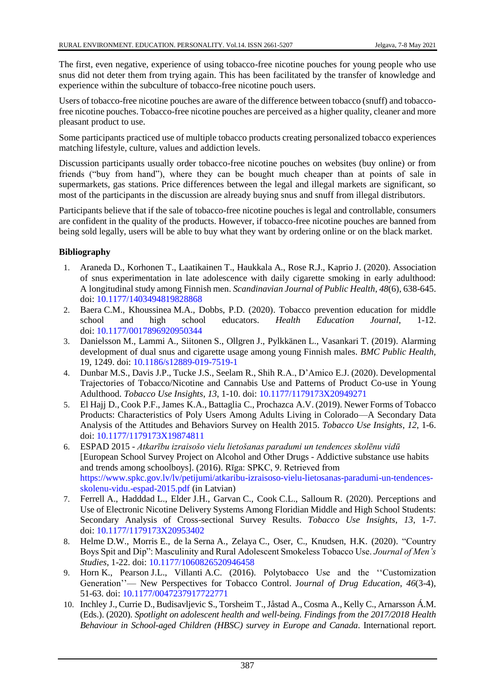The first, even negative, experience of using tobacco-free nicotine pouches for young people who use snus did not deter them from trying again. This has been facilitated by the transfer of knowledge and experience within the subculture of tobacco-free nicotine pouch users.

Users of tobacco-free nicotine pouches are aware of the difference between tobacco (snuff) and tobaccofree nicotine pouches. Tobacco-free nicotine pouches are perceived as a higher quality, cleaner and more pleasant product to use.

Some participants practiced use of multiple tobacco products creating personalized tobacco experiences matching lifestyle, culture, values and addiction levels.

Discussion participants usually order tobacco-free nicotine pouches on websites (buy online) or from friends ("buy from hand"), where they can be bought much cheaper than at points of sale in supermarkets, gas stations. Price differences between the legal and illegal markets are significant, so most of the participants in the discussion are already buying snus and snuff from illegal distributors.

Participants believe that if the sale of tobacco-free nicotine pouches is legal and controllable, consumers are confident in the quality of the products. However, if tobacco-free nicotine pouches are banned from being sold legally, users will be able to buy what they want by ordering online or on the black market.

## **Bibliography**

- 1. Araneda D., Korhonen T., Laatikainen T., Haukkala A., Rose R.J., Kaprio J. (2020). Association of snus experimentation in late adolescence with daily cigarette smoking in early adulthood: A longitudinal study among Finnish men. *Scandinavian Journal of Public Health*, *48*(6), 638-645. doi: [10.1177/1403494819828868](https://doi.org/10.1177/1403494819828868)
- 2. Baera C.M., Khoussinea M.A., Dobbs, P.D. (2020). Tobacco prevention education for middle school and high school educators. *Health Education Journal*, 1-12. doi: [10.1177/0017896920950344](https://doi.org/10.1177/0017896920950344)
- 3. Danielsson M., Lammi A., Siitonen S., Ollgren J., Pylkkänen L., Vasankari T. (2019). Alarming development of dual snus and cigarette usage among young Finnish males. *BMC Public Health,*  19, 1249. doi: [10.1186/s12889-019-7519-1](https://doi.org/10.1186/s12889-019-7519-1)
- 4. Dunbar M.S., Davis J.P., Tucke J.S., Seelam R., Shih R.A., D'Amico E.J. (2020). Developmental Trajectories of Tobacco/Nicotine and Cannabis Use and Patterns of Product Co-use in Young Adulthood. *Tobacco Use Insights*, *13*, 1-10. doi: [10.1177/1179173X20949271](https://doi.org/10.1177/1179173X20949271)
- 5. El Hajj D., Cook P.F., James K.A., Battaglia C., Prochazca A.V. (2019). Newer Forms of Tobacco Products: Characteristics of Poly Users Among Adults Living in Colorado—A Secondary Data Analysis of the Attitudes and Behaviors Survey on Health 2015. *Tobacco Use Insights*, *12*, 1-6. doi: [10.1177/1179173X19874811](https://doi.org/10.1177/1179173X19874811)
- 6. ESPAD 2015 *Atkarību izraisošo vielu lietošanas paradumi un tendences skolēnu vidū*  [European School Survey Project on Alcohol and Other Drugs - Addictive substance use habits and trends among schoolboys]. (2016). Rīga: SPKC, 9. Retrieved from [https://www.spkc.gov.lv/lv/petijumi/atkaribu-izraisoso-vielu-lietosanas-paradumi-un-tendences](https://www.spkc.gov.lv/lv/petijumi/atkaribu-izraisoso-vielu-lietosanas-paradumi-un-tendences-skolenu-vidu.-espad-2015.pdf)[skolenu-vidu.-espad-2015.pdf](https://www.spkc.gov.lv/lv/petijumi/atkaribu-izraisoso-vielu-lietosanas-paradumi-un-tendences-skolenu-vidu.-espad-2015.pdf) (in Latvian)
- 7. Ferrell A., Hadddad L., Elder J.H., Garvan C., Cook C.L., Salloum R. (2020). Perceptions and Use of Electronic Nicotine Delivery Systems Among Floridian Middle and High School Students: Secondary Analysis of Cross-sectional Survey Results. *Tobacco Use Insights*, *13*, 1-7. doi: [10.1177/1179173X20953402](https://doi.org/10.1177/1179173X20953402)
- 8. Helme D.W., Morris E., de la Serna A., Zelaya C., Oser, C., Knudsen, H.K. (2020). "Country Boys Spit and Dip": Masculinity and Rural Adolescent Smokeless Tobacco Use. *Journal of Men's Studies*, 1-22. doi: [10.1177/1060826520946458](https://doi.org/10.1177/1060826520946458)
- 9. Horn K., Pearson J.L., Villanti A.C. (2016). Polytobacco Use and the ''Customization Generation''— New Perspectives for Tobacco Control. J*ournal of Drug Education*, *46*(3-4), 51-63. doi: [10.1177/0047237917722771](https://doi.org/10.1177/0047237917722771)
- 10. Inchley J., Currie D., Budisavljevic S., Torsheim T., Jåstad A., Cosma A., Kelly C., Arnarsson Á.M. (Eds.). (2020). *Spotlight on adolescent health and well-being. Findings from the 2017/2018 Health Behaviour in School-aged Children (HBSC) survey in Europe and Canada*. International report.